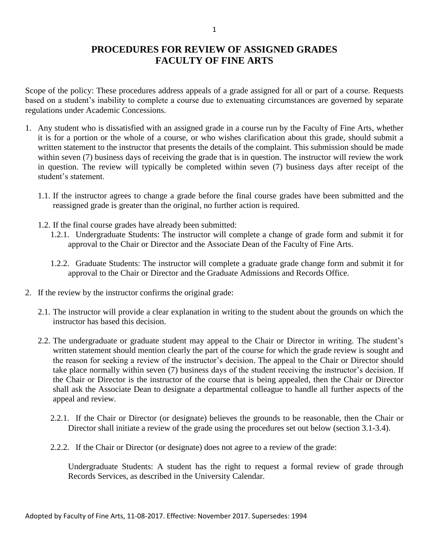## **PROCEDURES FOR REVIEW OF ASSIGNED GRADES FACULTY OF FINE ARTS**

Scope of the policy: These procedures address appeals of a grade assigned for all or part of a course. Requests based on a student's inability to complete a course due to extenuating circumstances are governed by separate regulations under Academic Concessions.

- 1. Any student who is dissatisfied with an assigned grade in a course run by the Faculty of Fine Arts, whether it is for a portion or the whole of a course, or who wishes clarification about this grade, should submit a written statement to the instructor that presents the details of the complaint. This submission should be made within seven (7) business days of receiving the grade that is in question. The instructor will review the work in question. The review will typically be completed within seven (7) business days after receipt of the student's statement.
	- 1.1. If the instructor agrees to change a grade before the final course grades have been submitted and the reassigned grade is greater than the original, no further action is required.
	- 1.2. If the final course grades have already been submitted:
		- 1.2.1. Undergraduate Students: The instructor will complete a change of grade form and submit it for approval to the Chair or Director and the Associate Dean of the Faculty of Fine Arts.
		- 1.2.2. Graduate Students: The instructor will complete a graduate grade change form and submit it for approval to the Chair or Director and the Graduate Admissions and Records Office.
- 2. If the review by the instructor confirms the original grade:
	- 2.1. The instructor will provide a clear explanation in writing to the student about the grounds on which the instructor has based this decision.
	- 2.2. The undergraduate or graduate student may appeal to the Chair or Director in writing. The student's written statement should mention clearly the part of the course for which the grade review is sought and the reason for seeking a review of the instructor's decision. The appeal to the Chair or Director should take place normally within seven (7) business days of the student receiving the instructor's decision. If the Chair or Director is the instructor of the course that is being appealed, then the Chair or Director shall ask the Associate Dean to designate a departmental colleague to handle all further aspects of the appeal and review.
		- 2.2.1. If the Chair or Director (or designate) believes the grounds to be reasonable, then the Chair or Director shall initiate a review of the grade using the procedures set out below (section 3.1-3.4).
		- 2.2.2. If the Chair or Director (or designate) does not agree to a review of the grade:

Undergraduate Students: A student has the right to request a formal review of grade through Records Services, as described in the University Calendar.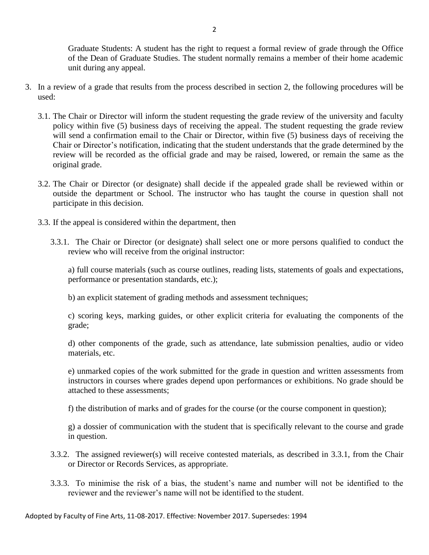Graduate Students: A student has the right to request a formal review of grade through the Office of the Dean of Graduate Studies. The student normally remains a member of their home academic unit during any appeal.

- 3. In a review of a grade that results from the process described in section 2, the following procedures will be used:
	- 3.1. The Chair or Director will inform the student requesting the grade review of the university and faculty policy within five (5) business days of receiving the appeal. The student requesting the grade review will send a confirmation email to the Chair or Director, within five (5) business days of receiving the Chair or Director's notification, indicating that the student understands that the grade determined by the review will be recorded as the official grade and may be raised, lowered, or remain the same as the original grade.
	- 3.2. The Chair or Director (or designate) shall decide if the appealed grade shall be reviewed within or outside the department or School. The instructor who has taught the course in question shall not participate in this decision.
	- 3.3. If the appeal is considered within the department, then
		- 3.3.1. The Chair or Director (or designate) shall select one or more persons qualified to conduct the review who will receive from the original instructor:

a) full course materials (such as course outlines, reading lists, statements of goals and expectations, performance or presentation standards, etc.);

b) an explicit statement of grading methods and assessment techniques;

c) scoring keys, marking guides, or other explicit criteria for evaluating the components of the grade;

d) other components of the grade, such as attendance, late submission penalties, audio or video materials, etc.

e) unmarked copies of the work submitted for the grade in question and written assessments from instructors in courses where grades depend upon performances or exhibitions. No grade should be attached to these assessments;

f) the distribution of marks and of grades for the course (or the course component in question);

g) a dossier of communication with the student that is specifically relevant to the course and grade in question.

- 3.3.2. The assigned reviewer(s) will receive contested materials, as described in 3.3.1, from the Chair or Director or Records Services, as appropriate.
- 3.3.3. To minimise the risk of a bias, the student's name and number will not be identified to the reviewer and the reviewer's name will not be identified to the student.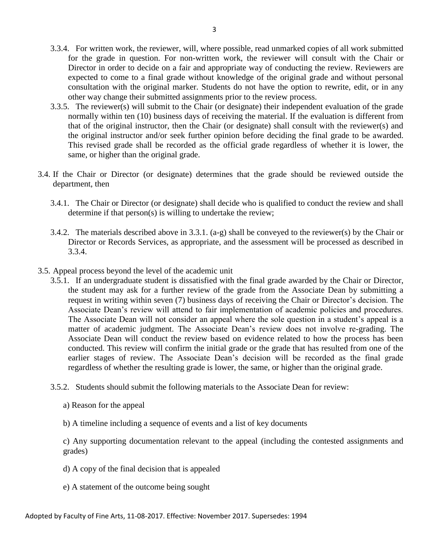- 3.3.4. For written work, the reviewer, will, where possible, read unmarked copies of all work submitted for the grade in question. For non-written work, the reviewer will consult with the Chair or Director in order to decide on a fair and appropriate way of conducting the review. Reviewers are expected to come to a final grade without knowledge of the original grade and without personal consultation with the original marker. Students do not have the option to rewrite, edit, or in any other way change their submitted assignments prior to the review process.
- 3.3.5. The reviewer(s) will submit to the Chair (or designate) their independent evaluation of the grade normally within ten (10) business days of receiving the material. If the evaluation is different from that of the original instructor, then the Chair (or designate) shall consult with the reviewer(s) and the original instructor and/or seek further opinion before deciding the final grade to be awarded. This revised grade shall be recorded as the official grade regardless of whether it is lower, the same, or higher than the original grade.
- 3.4. If the Chair or Director (or designate) determines that the grade should be reviewed outside the department, then
	- 3.4.1. The Chair or Director (or designate) shall decide who is qualified to conduct the review and shall determine if that person(s) is willing to undertake the review;
	- 3.4.2. The materials described above in 3.3.1. (a-g) shall be conveyed to the reviewer(s) by the Chair or Director or Records Services, as appropriate, and the assessment will be processed as described in 3.3.4.
- 3.5. Appeal process beyond the level of the academic unit
	- 3.5.1. If an undergraduate student is dissatisfied with the final grade awarded by the Chair or Director, the student may ask for a further review of the grade from the Associate Dean by submitting a request in writing within seven (7) business days of receiving the Chair or Director's decision. The Associate Dean's review will attend to fair implementation of academic policies and procedures. The Associate Dean will not consider an appeal where the sole question in a student's appeal is a matter of academic judgment. The Associate Dean's review does not involve re-grading. The Associate Dean will conduct the review based on evidence related to how the process has been conducted. This review will confirm the initial grade or the grade that has resulted from one of the earlier stages of review. The Associate Dean's decision will be recorded as the final grade regardless of whether the resulting grade is lower, the same, or higher than the original grade.
	- 3.5.2. Students should submit the following materials to the Associate Dean for review:
		- a) Reason for the appeal
		- b) A timeline including a sequence of events and a list of key documents

c) Any supporting documentation relevant to the appeal (including the contested assignments and grades)

- d) A copy of the final decision that is appealed
- e) A statement of the outcome being sought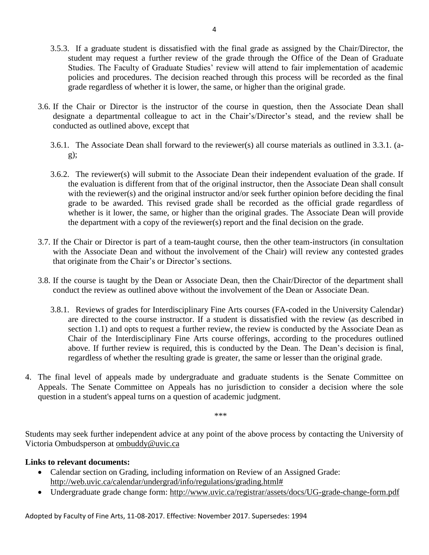- 3.5.3. If a graduate student is dissatisfied with the final grade as assigned by the Chair/Director, the student may request a further review of the grade through the Office of the Dean of Graduate Studies. The Faculty of Graduate Studies' review will attend to fair implementation of academic policies and procedures. The decision reached through this process will be recorded as the final grade regardless of whether it is lower, the same, or higher than the original grade.
- 3.6. If the Chair or Director is the instructor of the course in question, then the Associate Dean shall designate a departmental colleague to act in the Chair's/Director's stead, and the review shall be conducted as outlined above, except that
	- 3.6.1. The Associate Dean shall forward to the reviewer(s) all course materials as outlined in 3.3.1. (a $g$ ):
	- 3.6.2. The reviewer(s) will submit to the Associate Dean their independent evaluation of the grade. If the evaluation is different from that of the original instructor, then the Associate Dean shall consult with the reviewer(s) and the original instructor and/or seek further opinion before deciding the final grade to be awarded. This revised grade shall be recorded as the official grade regardless of whether is it lower, the same, or higher than the original grades. The Associate Dean will provide the department with a copy of the reviewer(s) report and the final decision on the grade.
- 3.7. If the Chair or Director is part of a team-taught course, then the other team-instructors (in consultation with the Associate Dean and without the involvement of the Chair) will review any contested grades that originate from the Chair's or Director's sections.
- 3.8. If the course is taught by the Dean or Associate Dean, then the Chair/Director of the department shall conduct the review as outlined above without the involvement of the Dean or Associate Dean.
	- 3.8.1. Reviews of grades for Interdisciplinary Fine Arts courses (FA-coded in the University Calendar) are directed to the course instructor. If a student is dissatisfied with the review (as described in section 1.1) and opts to request a further review, the review is conducted by the Associate Dean as Chair of the Interdisciplinary Fine Arts course offerings, according to the procedures outlined above. If further review is required, this is conducted by the Dean. The Dean's decision is final, regardless of whether the resulting grade is greater, the same or lesser than the original grade.
- 4. The final level of appeals made by undergraduate and graduate students is the Senate Committee on Appeals. The Senate Committee on Appeals has no jurisdiction to consider a decision where the sole question in a student's appeal turns on a question of academic judgment.

\*\*\*

Students may seek further independent advice at any point of the above process by contacting the University of Victoria Ombudsperson at [ombuddy@uvic.ca](mailto:ombuddy@uvic.ca)

## **Links to relevant documents:**

- Calendar section on Grading, including information on Review of an Assigned Grade: [http://web.uvic.ca/calendar/undergrad/info/regulations/grading.html#](http://web.uvic.ca/calendar2017-09/undergrad/info/regulations/grading.html)
- Undergraduate grade change form: <http://www.uvic.ca/registrar/assets/docs/UG-grade-change-form.pdf>

Adopted by Faculty of Fine Arts, 11-08-2017. Effective: November 2017. Supersedes: 1994